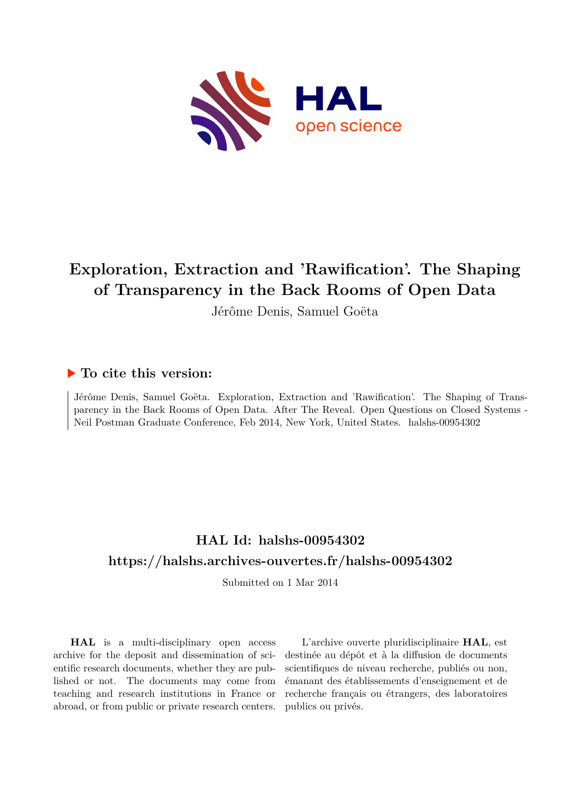

# **Exploration, Extraction and 'Rawification'. The Shaping of Transparency in the Back Rooms of Open Data**

Jérôme Denis, Samuel Goëta

## **To cite this version:**

Jérôme Denis, Samuel Goëta. Exploration, Extraction and 'Rawification'. The Shaping of Transparency in the Back Rooms of Open Data. After The Reveal. Open Questions on Closed Systems - Neil Postman Graduate Conference, Feb 2014, New York, United States. halshs-00954302

## **HAL Id: halshs-00954302 <https://halshs.archives-ouvertes.fr/halshs-00954302>**

Submitted on 1 Mar 2014

**HAL** is a multi-disciplinary open access archive for the deposit and dissemination of scientific research documents, whether they are published or not. The documents may come from teaching and research institutions in France or abroad, or from public or private research centers.

L'archive ouverte pluridisciplinaire **HAL**, est destinée au dépôt et à la diffusion de documents scientifiques de niveau recherche, publiés ou non, émanant des établissements d'enseignement et de recherche français ou étrangers, des laboratoires publics ou privés.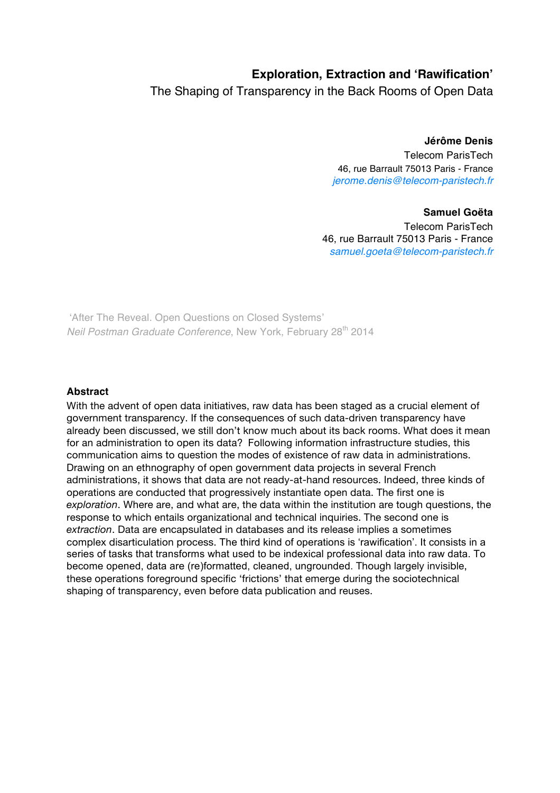### **Exploration, Extraction and 'Rawification'**

The Shaping of Transparency in the Back Rooms of Open Data

**Jérôme Denis**  Telecom ParisTech 46, rue Barrault 75013 Paris - France jerome.denis@telecom-paristech.fr

#### **Samuel Goëta**

Telecom ParisTech 46, rue Barrault 75013 Paris - France samuel.goeta@telecom-paristech.fr

'After The Reveal. Open Questions on Closed Systems' Neil Postman Graduate Conference, New York, February 28<sup>th</sup> 2014

#### **Abstract**

With the advent of open data initiatives, raw data has been staged as a crucial element of government transparency. If the consequences of such data-driven transparency have already been discussed, we still don't know much about its back rooms. What does it mean for an administration to open its data? Following information infrastructure studies, this communication aims to question the modes of existence of raw data in administrations. Drawing on an ethnography of open government data projects in several French administrations, it shows that data are not ready-at-hand resources. Indeed, three kinds of operations are conducted that progressively instantiate open data. The first one is *exploration*. Where are, and what are, the data within the institution are tough questions, the response to which entails organizational and technical inquiries. The second one is *extraction*. Data are encapsulated in databases and its release implies a sometimes complex disarticulation process. The third kind of operations is 'rawification'. It consists in a series of tasks that transforms what used to be indexical professional data into raw data. To become opened, data are (re)formatted, cleaned, ungrounded. Though largely invisible, these operations foreground specific 'frictions' that emerge during the sociotechnical shaping of transparency, even before data publication and reuses.

1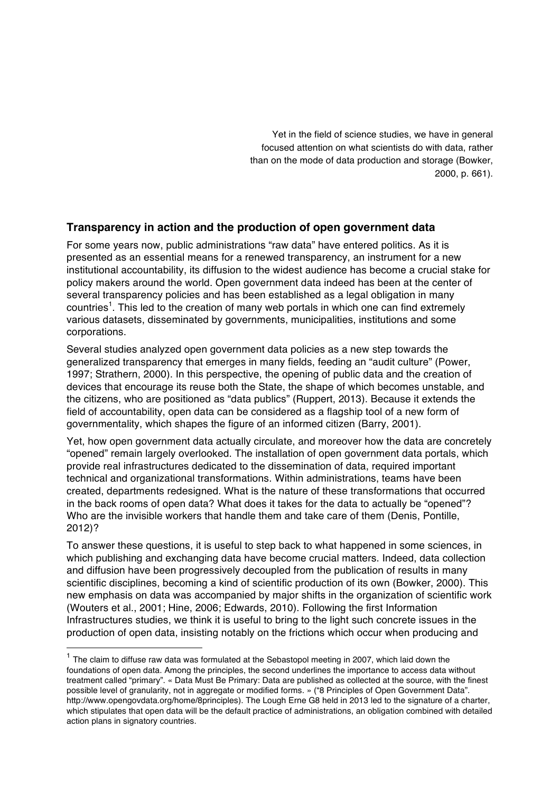Yet in the field of science studies, we have in general focused attention on what scientists do with data, rather than on the mode of data production and storage (Bowker, 2000, p. 661).

#### **Transparency in action and the production of open government data**

For some years now, public administrations "raw data" have entered politics. As it is presented as an essential means for a renewed transparency, an instrument for a new institutional accountability, its diffusion to the widest audience has become a crucial stake for policy makers around the world. Open government data indeed has been at the center of several transparency policies and has been established as a legal obligation in many countries<sup>1</sup>. This led to the creation of many web portals in which one can find extremely various datasets, disseminated by governments, municipalities, institutions and some corporations.

Several studies analyzed open government data policies as a new step towards the generalized transparency that emerges in many fields, feeding an "audit culture" (Power, 1997; Strathern, 2000). In this perspective, the opening of public data and the creation of devices that encourage its reuse both the State, the shape of which becomes unstable, and the citizens, who are positioned as "data publics" (Ruppert, 2013). Because it extends the field of accountability, open data can be considered as a flagship tool of a new form of governmentality, which shapes the figure of an informed citizen (Barry, 2001).

Yet, how open government data actually circulate, and moreover how the data are concretely "opened" remain largely overlooked. The installation of open government data portals, which provide real infrastructures dedicated to the dissemination of data, required important technical and organizational transformations. Within administrations, teams have been created, departments redesigned. What is the nature of these transformations that occurred in the back rooms of open data? What does it takes for the data to actually be "opened"? Who are the invisible workers that handle them and take care of them (Denis, Pontille, 2012)?

To answer these questions, it is useful to step back to what happened in some sciences, in which publishing and exchanging data have become crucial matters. Indeed, data collection and diffusion have been progressively decoupled from the publication of results in many scientific disciplines, becoming a kind of scientific production of its own (Bowker, 2000). This new emphasis on data was accompanied by major shifts in the organization of scientific work (Wouters et al., 2001; Hine, 2006; Edwards, 2010). Following the first Information Infrastructures studies, we think it is useful to bring to the light such concrete issues in the production of open data, insisting notably on the frictions which occur when producing and

 $1$  The claim to diffuse raw data was formulated at the Sebastopol meeting in 2007, which laid down the foundations of open data. Among the principles, the second underlines the importance to access data without treatment called "primary". « Data Must Be Primary: Data are published as collected at the source, with the finest possible level of granularity, not in aggregate or modified forms. » ("8 Principles of Open Government Data". http://www.opengovdata.org/home/8principles). The Lough Erne G8 held in 2013 led to the signature of a charter, which stipulates that open data will be the default practice of administrations, an obligation combined with detailed action plans in signatory countries.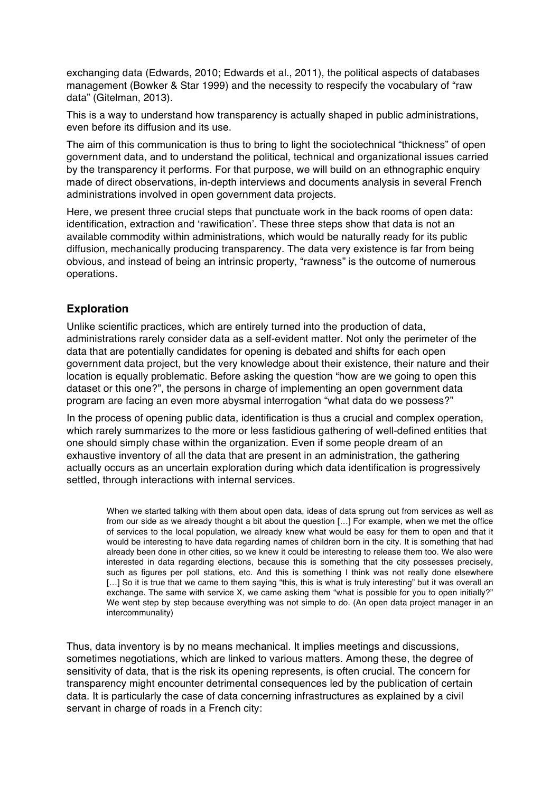exchanging data (Edwards, 2010; Edwards et al., 2011), the political aspects of databases management (Bowker & Star 1999) and the necessity to respecify the vocabulary of "raw data" (Gitelman, 2013).

This is a way to understand how transparency is actually shaped in public administrations, even before its diffusion and its use.

The aim of this communication is thus to bring to light the sociotechnical "thickness" of open government data, and to understand the political, technical and organizational issues carried by the transparency it performs. For that purpose, we will build on an ethnographic enquiry made of direct observations, in-depth interviews and documents analysis in several French administrations involved in open government data projects.

Here, we present three crucial steps that punctuate work in the back rooms of open data: identification, extraction and 'rawification'. These three steps show that data is not an available commodity within administrations, which would be naturally ready for its public diffusion, mechanically producing transparency. The data very existence is far from being obvious, and instead of being an intrinsic property, "rawness" is the outcome of numerous operations.

#### **Exploration**

Unlike scientific practices, which are entirely turned into the production of data, administrations rarely consider data as a self-evident matter. Not only the perimeter of the data that are potentially candidates for opening is debated and shifts for each open government data project, but the very knowledge about their existence, their nature and their location is equally problematic. Before asking the question "how are we going to open this dataset or this one?", the persons in charge of implementing an open government data program are facing an even more abysmal interrogation "what data do we possess?"

In the process of opening public data, identification is thus a crucial and complex operation, which rarely summarizes to the more or less fastidious gathering of well-defined entities that one should simply chase within the organization. Even if some people dream of an exhaustive inventory of all the data that are present in an administration, the gathering actually occurs as an uncertain exploration during which data identification is progressively settled, through interactions with internal services.

When we started talking with them about open data, ideas of data sprung out from services as well as from our side as we already thought a bit about the question […] For example, when we met the office of services to the local population, we already knew what would be easy for them to open and that it would be interesting to have data regarding names of children born in the city. It is something that had already been done in other cities, so we knew it could be interesting to release them too. We also were interested in data regarding elections, because this is something that the city possesses precisely, such as figures per poll stations, etc. And this is something I think was not really done elsewhere [...] So it is true that we came to them saying "this, this is what is truly interesting" but it was overall an exchange. The same with service X, we came asking them "what is possible for you to open initially?" We went step by step because everything was not simple to do. (An open data project manager in an intercommunality)

Thus, data inventory is by no means mechanical. It implies meetings and discussions, sometimes negotiations, which are linked to various matters. Among these, the degree of sensitivity of data, that is the risk its opening represents, is often crucial. The concern for transparency might encounter detrimental consequences led by the publication of certain data. It is particularly the case of data concerning infrastructures as explained by a civil servant in charge of roads in a French city: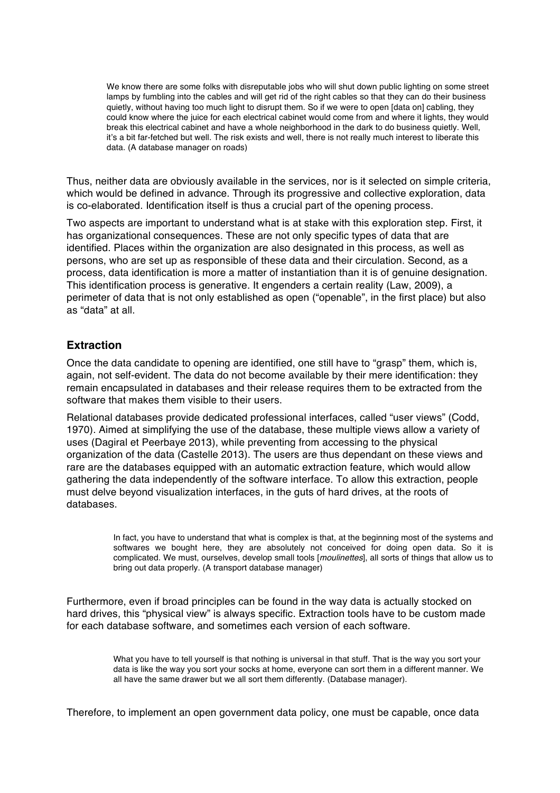We know there are some folks with disreputable jobs who will shut down public lighting on some street lamps by fumbling into the cables and will get rid of the right cables so that they can do their business quietly, without having too much light to disrupt them. So if we were to open [data on] cabling, they could know where the juice for each electrical cabinet would come from and where it lights, they would break this electrical cabinet and have a whole neighborhood in the dark to do business quietly. Well, it's a bit far-fetched but well. The risk exists and well, there is not really much interest to liberate this data. (A database manager on roads)

Thus, neither data are obviously available in the services, nor is it selected on simple criteria, which would be defined in advance. Through its progressive and collective exploration, data is co-elaborated. Identification itself is thus a crucial part of the opening process.

Two aspects are important to understand what is at stake with this exploration step. First, it has organizational consequences. These are not only specific types of data that are identified. Places within the organization are also designated in this process, as well as persons, who are set up as responsible of these data and their circulation. Second, as a process, data identification is more a matter of instantiation than it is of genuine designation. This identification process is generative. It engenders a certain reality (Law, 2009), a perimeter of data that is not only established as open ("openable", in the first place) but also as "data" at all.

#### **Extraction**

Once the data candidate to opening are identified, one still have to "grasp" them, which is, again, not self-evident. The data do not become available by their mere identification: they remain encapsulated in databases and their release requires them to be extracted from the software that makes them visible to their users.

Relational databases provide dedicated professional interfaces, called "user views" (Codd, 1970). Aimed at simplifying the use of the database, these multiple views allow a variety of uses (Dagiral et Peerbaye 2013), while preventing from accessing to the physical organization of the data (Castelle 2013). The users are thus dependant on these views and rare are the databases equipped with an automatic extraction feature, which would allow gathering the data independently of the software interface. To allow this extraction, people must delve beyond visualization interfaces, in the guts of hard drives, at the roots of databases.

> In fact, you have to understand that what is complex is that, at the beginning most of the systems and softwares we bought here, they are absolutely not conceived for doing open data. So it is complicated. We must, ourselves, develop small tools [moulinettes], all sorts of things that allow us to bring out data properly. (A transport database manager)

Furthermore, even if broad principles can be found in the way data is actually stocked on hard drives, this "physical view" is always specific. Extraction tools have to be custom made for each database software, and sometimes each version of each software.

> What you have to tell yourself is that nothing is universal in that stuff. That is the way you sort your data is like the way you sort your socks at home, everyone can sort them in a different manner. We all have the same drawer but we all sort them differently. (Database manager).

Therefore, to implement an open government data policy, one must be capable, once data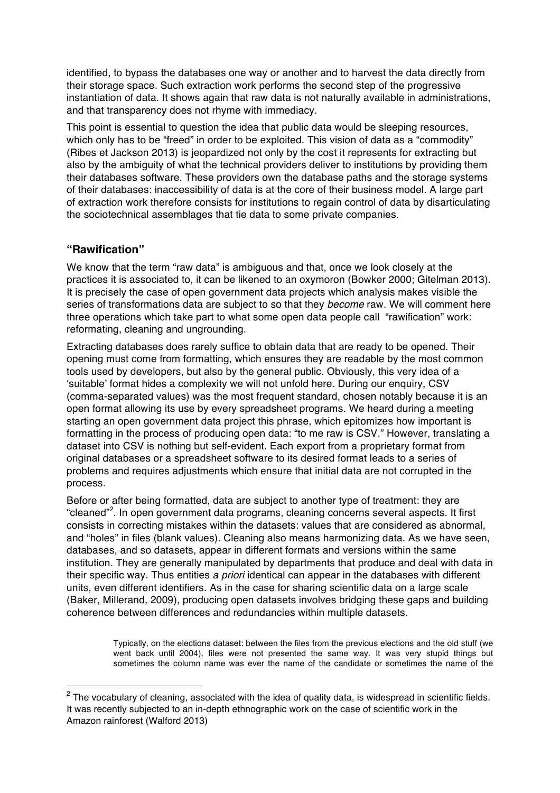identified, to bypass the databases one way or another and to harvest the data directly from their storage space. Such extraction work performs the second step of the progressive instantiation of data. It shows again that raw data is not naturally available in administrations, and that transparency does not rhyme with immediacy.

This point is essential to question the idea that public data would be sleeping resources, which only has to be "freed" in order to be exploited. This vision of data as a "commodity" (Ribes et Jackson 2013) is jeopardized not only by the cost it represents for extracting but also by the ambiguity of what the technical providers deliver to institutions by providing them their databases software. These providers own the database paths and the storage systems of their databases: inaccessibility of data is at the core of their business model. A large part of extraction work therefore consists for institutions to regain control of data by disarticulating the sociotechnical assemblages that tie data to some private companies.

#### **"Rawification"**

We know that the term "raw data" is ambiguous and that, once we look closely at the practices it is associated to, it can be likened to an oxymoron (Bowker 2000; Gitelman 2013). It is precisely the case of open government data projects which analysis makes visible the series of transformations data are subject to so that they *become* raw. We will comment here three operations which take part to what some open data people call "rawification" work: reformating, cleaning and ungrounding.

Extracting databases does rarely suffice to obtain data that are ready to be opened. Their opening must come from formatting, which ensures they are readable by the most common tools used by developers, but also by the general public. Obviously, this very idea of a 'suitable' format hides a complexity we will not unfold here. During our enquiry, CSV (comma-separated values) was the most frequent standard, chosen notably because it is an open format allowing its use by every spreadsheet programs. We heard during a meeting starting an open government data project this phrase, which epitomizes how important is formatting in the process of producing open data: "to me raw is CSV." However, translating a dataset into CSV is nothing but self-evident. Each export from a proprietary format from original databases or a spreadsheet software to its desired format leads to a series of problems and requires adjustments which ensure that initial data are not corrupted in the process.

Before or after being formatted, data are subject to another type of treatment: they are "cleaned"<sup>2</sup>. In open government data programs, cleaning concerns several aspects. It first consists in correcting mistakes within the datasets: values that are considered as abnormal, and "holes" in files (blank values). Cleaning also means harmonizing data. As we have seen, databases, and so datasets, appear in different formats and versions within the same institution. They are generally manipulated by departments that produce and deal with data in their specific way. Thus entities a priori identical can appear in the databases with different units, even different identifiers. As in the case for sharing scientific data on a large scale (Baker, Millerand, 2009), producing open datasets involves bridging these gaps and building coherence between differences and redundancies within multiple datasets.

> Typically, on the elections dataset: between the files from the previous elections and the old stuff (we went back until 2004), files were not presented the same way. It was very stupid things but sometimes the column name was ever the name of the candidate or sometimes the name of the

 $2$  The vocabulary of cleaning, associated with the idea of quality data, is widespread in scientific fields. It was recently subjected to an in-depth ethnographic work on the case of scientific work in the Amazon rainforest (Walford 2013)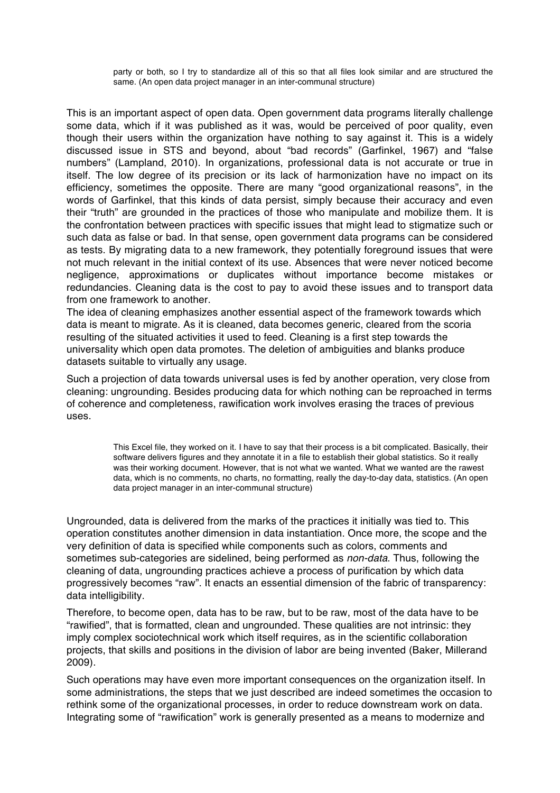party or both, so I try to standardize all of this so that all files look similar and are structured the same. (An open data project manager in an inter-communal structure)

This is an important aspect of open data. Open government data programs literally challenge some data, which if it was published as it was, would be perceived of poor quality, even though their users within the organization have nothing to say against it. This is a widely discussed issue in STS and beyond, about "bad records" (Garfinkel, 1967) and "false numbers" (Lampland, 2010). In organizations, professional data is not accurate or true in itself. The low degree of its precision or its lack of harmonization have no impact on its efficiency, sometimes the opposite. There are many "good organizational reasons", in the words of Garfinkel, that this kinds of data persist, simply because their accuracy and even their "truth" are grounded in the practices of those who manipulate and mobilize them. It is the confrontation between practices with specific issues that might lead to stigmatize such or such data as false or bad. In that sense, open government data programs can be considered as tests. By migrating data to a new framework, they potentially foreground issues that were not much relevant in the initial context of its use. Absences that were never noticed become negligence, approximations or duplicates without importance become mistakes or redundancies. Cleaning data is the cost to pay to avoid these issues and to transport data from one framework to another.

The idea of cleaning emphasizes another essential aspect of the framework towards which data is meant to migrate. As it is cleaned, data becomes generic, cleared from the scoria resulting of the situated activities it used to feed. Cleaning is a first step towards the universality which open data promotes. The deletion of ambiguities and blanks produce datasets suitable to virtually any usage.

Such a projection of data towards universal uses is fed by another operation, very close from cleaning: ungrounding. Besides producing data for which nothing can be reproached in terms of coherence and completeness, rawification work involves erasing the traces of previous uses.

> This Excel file, they worked on it. I have to say that their process is a bit complicated. Basically, their software delivers figures and they annotate it in a file to establish their global statistics. So it really was their working document. However, that is not what we wanted. What we wanted are the rawest data, which is no comments, no charts, no formatting, really the day-to-day data, statistics. (An open data project manager in an inter-communal structure)

Ungrounded, data is delivered from the marks of the practices it initially was tied to. This operation constitutes another dimension in data instantiation. Once more, the scope and the very definition of data is specified while components such as colors, comments and sometimes sub-categories are sidelined, being performed as non-data. Thus, following the cleaning of data, ungrounding practices achieve a process of purification by which data progressively becomes "raw". It enacts an essential dimension of the fabric of transparency: data intelligibility.

Therefore, to become open, data has to be raw, but to be raw, most of the data have to be "rawified", that is formatted, clean and ungrounded. These qualities are not intrinsic: they imply complex sociotechnical work which itself requires, as in the scientific collaboration projects, that skills and positions in the division of labor are being invented (Baker, Millerand 2009).

Such operations may have even more important consequences on the organization itself. In some administrations, the steps that we just described are indeed sometimes the occasion to rethink some of the organizational processes, in order to reduce downstream work on data. Integrating some of "rawification" work is generally presented as a means to modernize and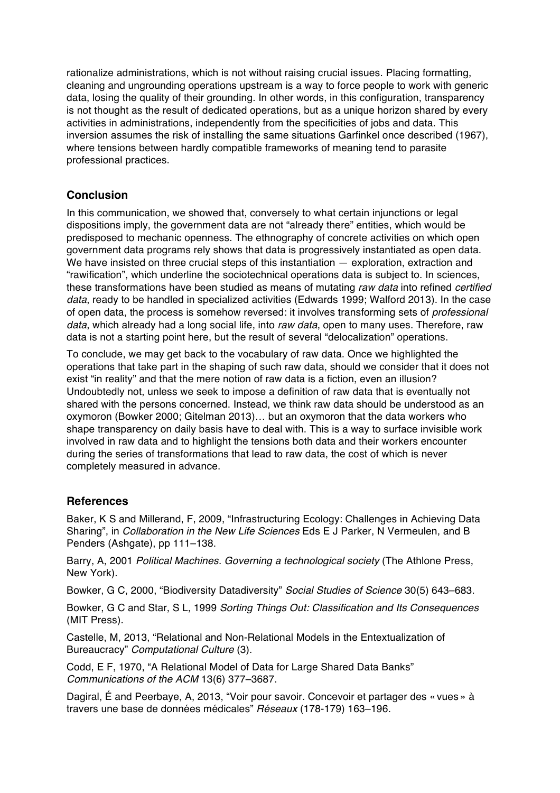rationalize administrations, which is not without raising crucial issues. Placing formatting, cleaning and ungrounding operations upstream is a way to force people to work with generic data, losing the quality of their grounding. In other words, in this configuration, transparency is not thought as the result of dedicated operations, but as a unique horizon shared by every activities in administrations, independently from the specificities of jobs and data. This inversion assumes the risk of installing the same situations Garfinkel once described (1967), where tensions between hardly compatible frameworks of meaning tend to parasite professional practices.

#### **Conclusion**

In this communication, we showed that, conversely to what certain injunctions or legal dispositions imply, the government data are not "already there" entities, which would be predisposed to mechanic openness. The ethnography of concrete activities on which open government data programs rely shows that data is progressively instantiated as open data. We have insisted on three crucial steps of this instantiation — exploration, extraction and "rawification", which underline the sociotechnical operations data is subject to. In sciences, these transformations have been studied as means of mutating raw data into refined certified data, ready to be handled in specialized activities (Edwards 1999; Walford 2013). In the case of open data, the process is somehow reversed: it involves transforming sets of professional data, which already had a long social life, into raw data, open to many uses. Therefore, raw data is not a starting point here, but the result of several "delocalization" operations.

To conclude, we may get back to the vocabulary of raw data. Once we highlighted the operations that take part in the shaping of such raw data, should we consider that it does not exist "in reality" and that the mere notion of raw data is a fiction, even an illusion? Undoubtedly not, unless we seek to impose a definition of raw data that is eventually not shared with the persons concerned. Instead, we think raw data should be understood as an oxymoron (Bowker 2000; Gitelman 2013)… but an oxymoron that the data workers who shape transparency on daily basis have to deal with. This is a way to surface invisible work involved in raw data and to highlight the tensions both data and their workers encounter during the series of transformations that lead to raw data, the cost of which is never completely measured in advance.

#### **References**

Baker, K S and Millerand, F, 2009, "Infrastructuring Ecology: Challenges in Achieving Data Sharing", in *Collaboration in the New Life Sciences* Eds E J Parker, N Vermeulen, and B Penders (Ashgate), pp 111–138.

Barry, A, 2001 Political Machines. Governing a technological society (The Athlone Press, New York).

Bowker, G C, 2000, "Biodiversity Datadiversity" Social Studies of Science 30(5) 643–683.

Bowker, G C and Star, S L, 1999 Sorting Things Out: Classification and Its Consequences (MIT Press).

Castelle, M, 2013, "Relational and Non-Relational Models in the Entextualization of Bureaucracy" Computational Culture (3).

Codd, E F, 1970, "A Relational Model of Data for Large Shared Data Banks" Communications of the ACM 13(6) 377–3687.

Dagiral, É and Peerbaye, A, 2013, "Voir pour savoir. Concevoir et partager des « vues » à travers une base de données médicales" Réseaux (178-179) 163–196.